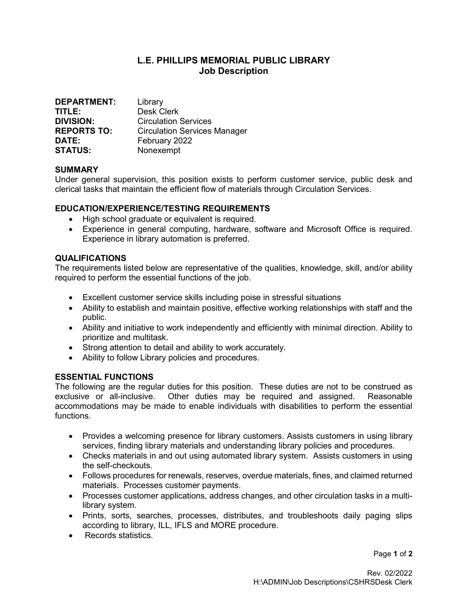# L.E. PHILLIPS MEMORIAL PUBLIC LIBRARY Job Description

| <b>DEPARTMENT:</b> | Library                             |
|--------------------|-------------------------------------|
| TITLE:             | <b>Desk Clerk</b>                   |
| <b>DIVISION:</b>   | <b>Circulation Services</b>         |
| <b>REPORTS TO:</b> | <b>Circulation Services Manager</b> |
| DATE:              | February 2022                       |
| <b>STATUS:</b>     | Nonexempt                           |

## **SUMMARY**

Under general supervision, this position exists to perform customer service, public desk and clerical tasks that maintain the efficient flow of materials through Circulation Services.

# EDUCATION/EXPERIENCE/TESTING REQUIREMENTS

- High school graduate or equivalent is required.
- Experience in general computing, hardware, software and Microsoft Office is required. Experience in library automation is preferred.

## QUALIFICATIONS

The requirements listed below are representative of the qualities, knowledge, skill, and/or ability required to perform the essential functions of the job.

- Excellent customer service skills including poise in stressful situations
- Ability to establish and maintain positive, effective working relationships with staff and the public.
- Ability and initiative to work independently and efficiently with minimal direction. Ability to prioritize and multitask.
- Strong attention to detail and ability to work accurately.
- Ability to follow Library policies and procedures.

#### ESSENTIAL FUNCTIONS

The following are the regular duties for this position. These duties are not to be construed as exclusive or all-inclusive. Other duties may be required and assigned. Reasonable accommodations may be made to enable individuals with disabilities to perform the essential functions.

- Provides a welcoming presence for library customers. Assists customers in using library services, finding library materials and understanding library policies and procedures.
- Checks materials in and out using automated library system. Assists customers in using the self-checkouts.
- Follows procedures for renewals, reserves, overdue materials, fines, and claimed returned materials. Processes customer payments.
- Processes customer applications, address changes, and other circulation tasks in a multilibrary system.
- Prints, sorts, searches, processes, distributes, and troubleshoots daily paging slips according to library, ILL, IFLS and MORE procedure.
- Records statistics.

Page 1 of 2